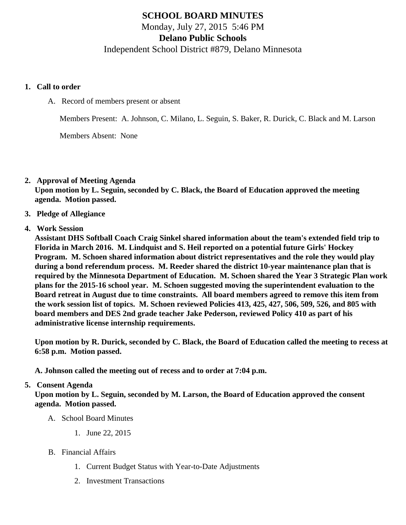## SCHOOL BOARD MINUTES Monday, July 27, 2015 5:46 PM Delano Public Schools Independent School District #879, Delano Minnesota

- 1. Call to order
	- A. Record of members present or absent

Members Present: A. Johnson, C. Milano, L. Seguin, S. Baker, R. Durick, C. Black and M. Larson

Members Absent: None

- 2. Approval of Meeting Agenda Upon motion by L. Seguin, seconded by C. Black, the Board of Education approved the meeting agenda. Motion passed.
- 3. Pledge of Allegiance

## 4. Work Session

Assistant DHS Softball Coach Craig Sinkel shared information about the team's extended field trip to Florida in March 2016. M. Lindquist and S. Heil reported on a potential future Girls' Hockey Program. M. Schoen shared information about district representatives and the role they would play during a bond referendum process. M. Reeder shared the district 10-year maintenance plan that is required by the Minnesota Department of Education. M. Schoen shared the Year 3 Strategic Plan work plans for the 2015-16 school year. M. Schoen suggested moving the superintendent evaluation to the Board retreat in August due to time constraints. All board members agreed to remove this item from the work session list of topics. M. Schoen reviewed Policies 413, 425, 427, 506, 509, 526, and 805 with board members and DES 2nd grade teacher Jake Pederson, reviewed Policy 410 as part of his administrative license internship requirements.

Upon motion by R. Durick, seconded by C. Black, the Board of Education called the meeting to recess 6:58 p.m. Motion passed.

A. Johnson called the meeting out of recess and to order at 7:04 p.m.

## 5. Consent Agenda

Upon motion by L. Seguin, seconded by M. Larson, the Board of Education approved the consent agenda. Motion passed.

- A. School Board Minutes
	- 1. [June 22, 201](/docs/district/District_Forms/School_Board_Minutes_6.22.15.pdf)5
- B. Financial Affairs
	- 1. [Current Budget Status with Year-to-Date Adjustm](/docs/district/Business_Office/Budget_Report_July_2015.pdf)ents
	- 2. [Investment Transactio](/docs/district/Business_Office/Investment_schedule_14-15.pdf)ns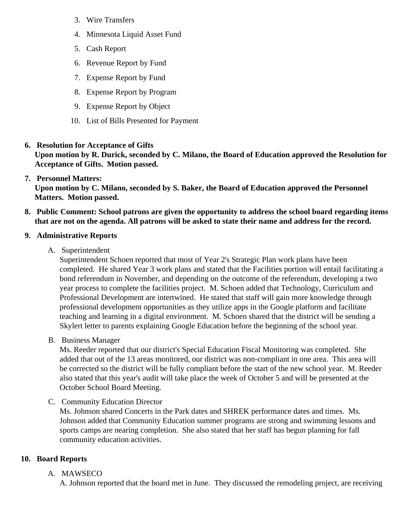- 3. [Wire Transfer](/docs/district/Business_Office/Wire_Transfer.pdf )s
- 4. [Minnesota Liquid Asset Fun](/docs/district/Business_Office/Liquid_Asset_Fund_FY15.pdf)d
- 5. [Cash Repo](/docs/district/Business_Office/Cash_Report.pdf  )rt
- 6. [Revenue Report by Fu](/docs/district/Business_Office/SCHOOL_BOARD_REPORTS_-_REVENUE_BY_FUND_TOTAL__(Date__6_2016).pdf)nd
- 7. [Expense Report by Fu](/docs/district/Business_Office/SCHOOL_BOARD_REPORTS_-_EXP_BY_FUND_TOTAL__(Date__6_2016).pdf)nd
- 8. [Expense Report by Progra](/docs/district/Business_Office/SCHOOL_BOARD_REPORTS_-_EXPENDITURES_BY_PROGRAM__(Date__6_2016).pdf)m
- 9. [Expense Report by Obje](/docs/district/Business_Office/SCHOOL_BOARD_REPORTS_-_EXPENDITURES_BY_OBJECT__(Date__6_2016).pdf)ct
- 10. [List of Bills Presented for Payme](/docs/district/Business_Office/DETAIL_OF_MONTHLY_BILLS_PRESENTED_FOR_PAYMENT_(Dates__05_01_15_-_07_21_15).pdf)nt
- 6. [Resolution for Acceptance of Gifts](/docs/district/Business_Office/Resolution_for_Acceptance_of_Gifts_7.27.15.pdf) Upon motion by R. Durick, seconded by C. Milano, the Board of Education approved the Resolution for Acceptance of Gifts. Motion passed.
- 7. [Personnel Matters:](/docs/district/HR/July_27,_2015_Personnel_Items.pdf) Upon motion by C. Milano, seconded by S. Baker, the Board of Education approved the Personnel Matters. Motion passed.
- 8. Public Comment: School patrons are given the opportunity to address the school board regarding items that are not on the agenda. All patrons will be asked to state their name and address for the record.
- 9. Administrative Reports
	- A. Superintendent

Superintendent Schoen reported that most of Year 2's Strategic Plan work plans have been completed. He shared Year 3 work plans and stated that the Facilities portion will entail facilitating bond referendum in November, and depending on the outcome of the referendum, developing a two year process to complete the facilities project. M. Schoen added that Technology, Curriculum and Professional Development are intertwined. He stated that staff will gain more knowledge through professional development opportunities as they utilize apps in the Google platform and facilitate teaching and learning in a digital environment. M. Schoen shared that the district will be sending a Skylert letter to parents explaining Google Education before the beginning of the school year.

B. Business Manager

Ms. Reeder reported that our district's Special Education Fiscal Monitoring was completed. She added that out of the 13 areas monitored, our district was non-compliant in one area. This area will be corrected so the district will be fully compliant before the start of the new school year. M. Reeder also stated that this year's audit will take place the week of October 5 and will be presented at the October School Board Meeting.

- C. Community Education Director Ms. Johnson shared Concerts in the Park dates and SHREK performance dates and times. Ms. Johnson added that Community Education summer programs are strong and swimming lessons are sports camps are nearing completion. She also stated that her staff has begun planning for fall community education activities.
- 10. Board Reports
	- A. MAWSECO

A. Johnson reported that the board met in June. They discussed the remodeling project, are receive